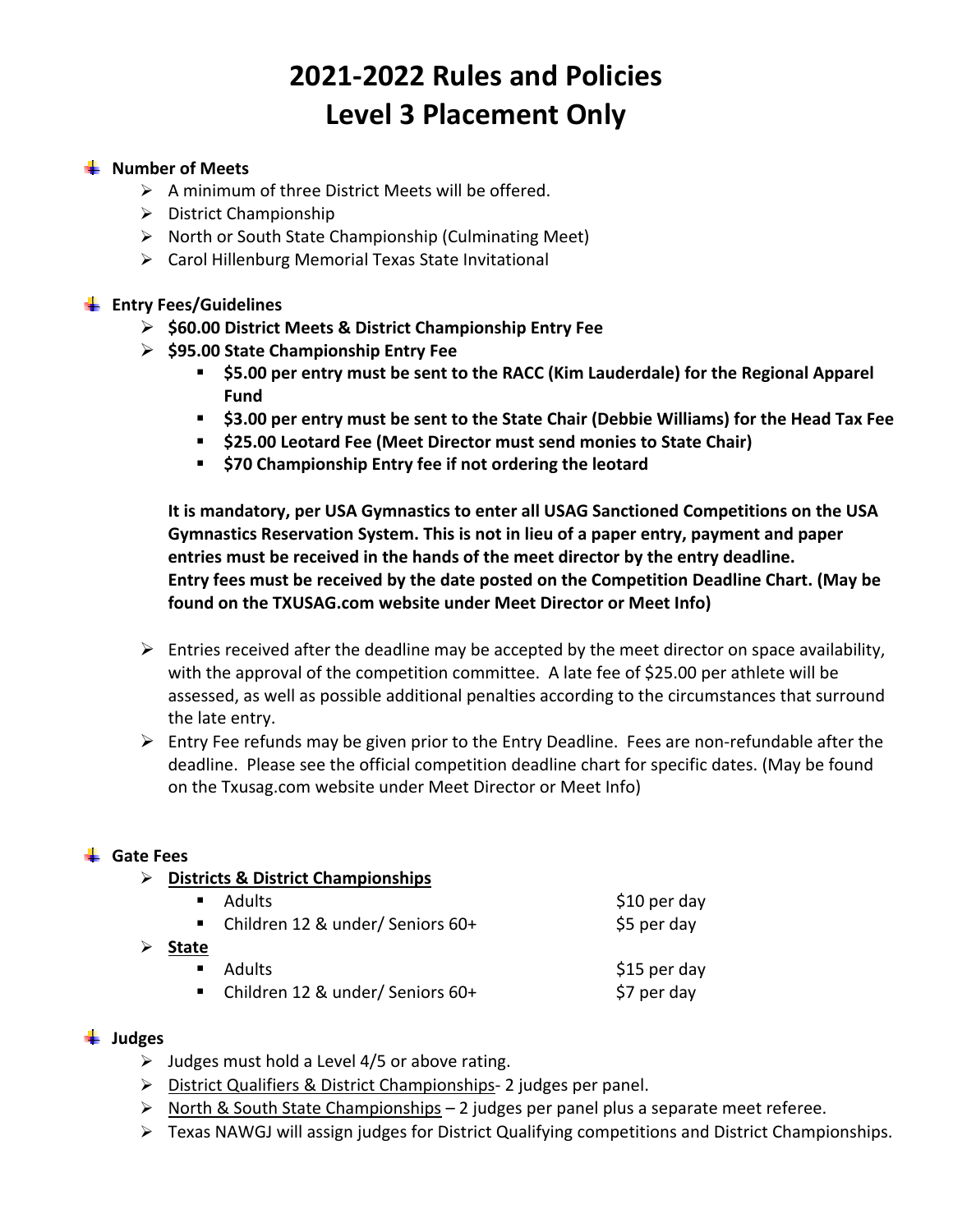# **2021‐2022 Rules and Policies Level 3 Placement Only**

## **Number of Meets**

- $\triangleright$  A minimum of three District Meets will be offered.
- $\triangleright$  District Championship
- $\triangleright$  North or South State Championship (Culminating Meet)
- Carol Hillenburg Memorial Texas State Invitational

## **Entry Fees/Guidelines**

- **\$60.00 District Meets & District Championship Entry Fee**
- **\$95.00 State Championship Entry Fee** 
	- **\$5.00 per entry must be sent to the RACC (Kim Lauderdale) for the Regional Apparel Fund**
	- **\$3.00 per entry must be sent to the State Chair (Debbie Williams) for the Head Tax Fee**
	- **\$25.00 Leotard Fee (Meet Director must send monies to State Chair)**
	- **\$70 Championship Entry fee if not ordering the leotard**

**It is mandatory, per USA Gymnastics to enter all USAG Sanctioned Competitions on the USA Gymnastics Reservation System. This is not in lieu of a paper entry, payment and paper entries must be received in the hands of the meet director by the entry deadline. Entry fees must be received by the date posted on the Competition Deadline Chart. (May be found on the TXUSAG.com website under Meet Director or Meet Info)** 

- $\triangleright$  Entries received after the deadline may be accepted by the meet director on space availability, with the approval of the competition committee. A late fee of \$25.00 per athlete will be assessed, as well as possible additional penalties according to the circumstances that surround the late entry.
- $\triangleright$  Entry Fee refunds may be given prior to the Entry Deadline. Fees are non-refundable after the deadline. Please see the official competition deadline chart for specific dates. (May be found on the Txusag.com website under Meet Director or Meet Info)

#### **Gate Fees**

**Districts & District Championships** 

|                | ■ Adults                           | $$10$ per day |
|----------------|------------------------------------|---------------|
|                | ■ Children 12 & under/ Seniors 60+ | \$5 per day   |
| <b>State</b>   |                                    |               |
| $\blacksquare$ | <b>Adults</b>                      | \$15 per day  |
|                | ■ Children 12 & under/ Seniors 60+ | \$7 per day   |

#### **Judges**

- $\triangleright$  Judges must hold a Level 4/5 or above rating.
- ▶ District Qualifiers & District Championships- 2 judges per panel.
- > North & South State Championships 2 judges per panel plus a separate meet referee.
- $\triangleright$  Texas NAWGJ will assign judges for District Qualifying competitions and District Championships.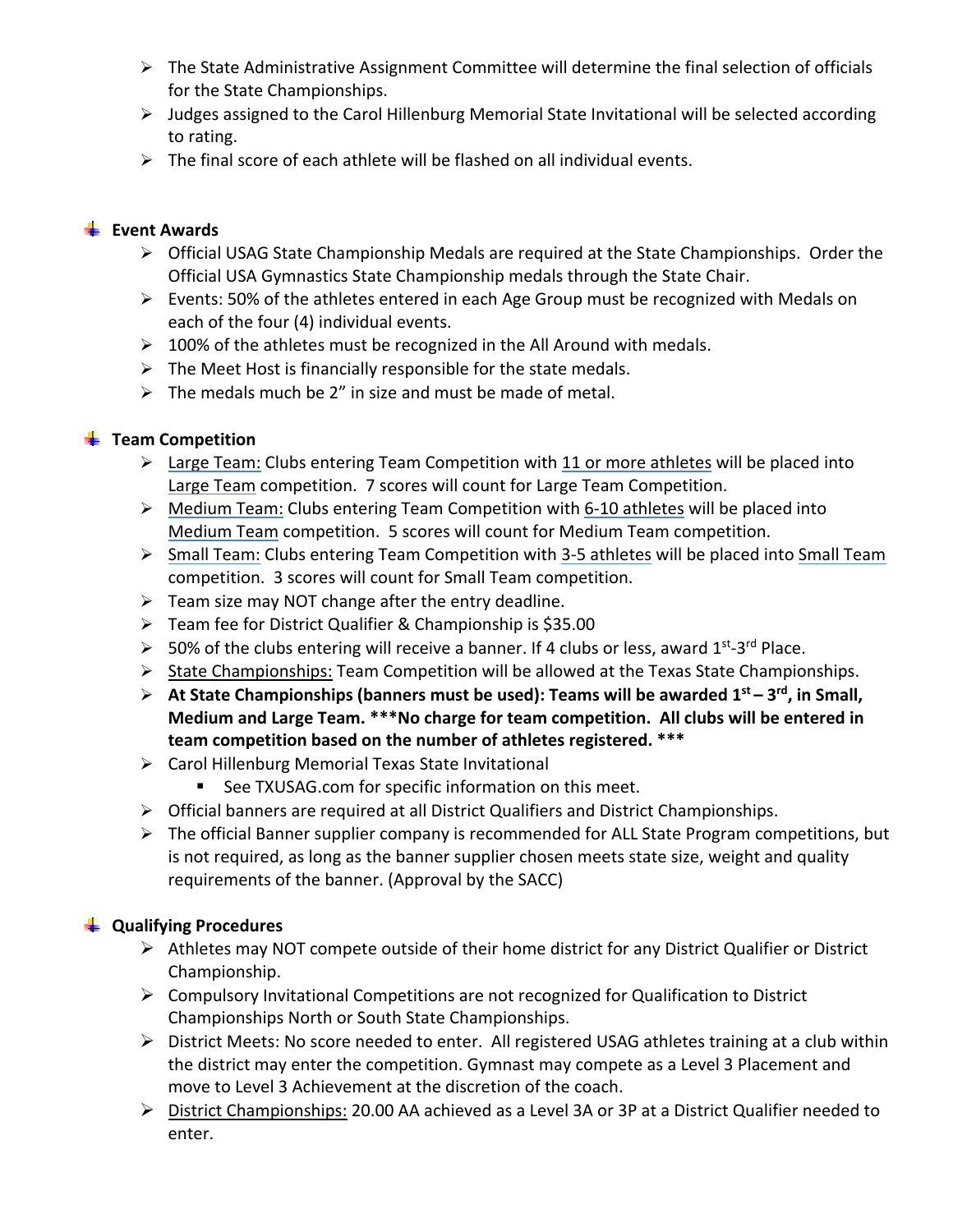- $\triangleright$  The State Administrative Assignment Committee will determine the final selection of officials for the State Championships.
- $\triangleright$  Judges assigned to the Carol Hillenburg Memorial State Invitational will be selected according to rating.
- $\triangleright$  The final score of each athlete will be flashed on all individual events.

# **Event Awards**

- Official USAG State Championship Medals are required at the State Championships. Order the Official USA Gymnastics State Championship medals through the State Chair.
- Events: 50% of the athletes entered in each Age Group must be recognized with Medals on each of the four (4) individual events.
- $\geq 100\%$  of the athletes must be recognized in the All Around with medals.
- $\triangleright$  The Meet Host is financially responsible for the state medals.
- $\triangleright$  The medals much be 2" in size and must be made of metal.

# **Team Competition**

- Large Team: Clubs entering Team Competition with 11 or more athletes will be placed into Large Team competition. 7 scores will count for Large Team Competition.
- Medium Team: Clubs entering Team Competition with 6‐10 athletes will be placed into Medium Team competition. 5 scores will count for Medium Team competition.
- > Small Team: Clubs entering Team Competition with 3-5 athletes will be placed into Small Team competition. 3 scores will count for Small Team competition.
- $\triangleright$  Team size may NOT change after the entry deadline.
- Team fee for District Qualifier & Championship is \$35.00
- $>$  50% of the clubs entering will receive a banner. If 4 clubs or less, award 1<sup>st–3rd</sup> Place.
- $\triangleright$  State Championships: Team Competition will be allowed at the Texas State Championships.
- **At State Championships (banners must be used): Teams will be awarded 1st 3rd, in Small, Medium and Large Team. \*\*\*No charge for team competition. All clubs will be entered in team competition based on the number of athletes registered. \*\*\***
- Carol Hillenburg Memorial Texas State Invitational
	- See TXUSAG.com for specific information on this meet.
- Official banners are required at all District Qualifiers and District Championships.
- $\triangleright$  The official Banner supplier company is recommended for ALL State Program competitions, but is not required, as long as the banner supplier chosen meets state size, weight and quality requirements of the banner. (Approval by the SACC)

# **Qualifying Procedures**

- $\triangleright$  Athletes may NOT compete outside of their home district for any District Qualifier or District Championship.
- $\triangleright$  Compulsory Invitational Competitions are not recognized for Qualification to District Championships North or South State Championships.
- District Meets: No score needed to enter. All registered USAG athletes training at a club within the district may enter the competition. Gymnast may compete as a Level 3 Placement and move to Level 3 Achievement at the discretion of the coach.
- ▶ District Championships: 20.00 AA achieved as a Level 3A or 3P at a District Qualifier needed to enter.